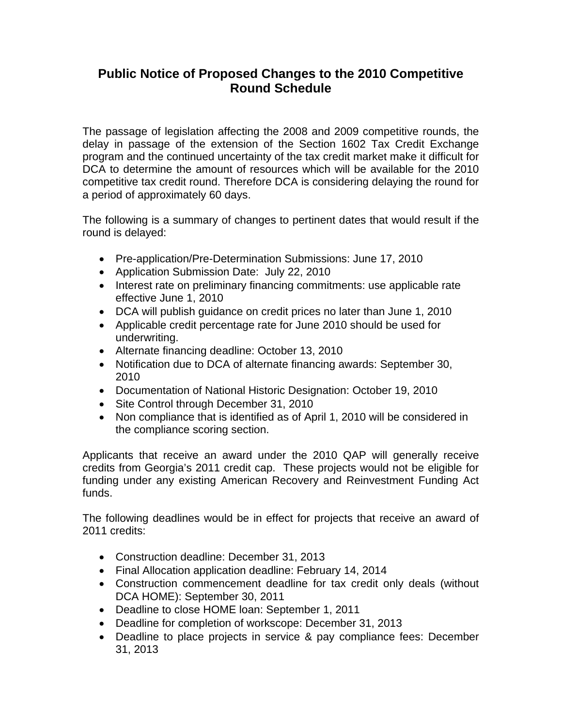## **Public Notice of Proposed Changes to the 2010 Competitive Round Schedule**

The passage of legislation affecting the 2008 and 2009 competitive rounds, the delay in passage of the extension of the Section 1602 Tax Credit Exchange program and the continued uncertainty of the tax credit market make it difficult for DCA to determine the amount of resources which will be available for the 2010 competitive tax credit round. Therefore DCA is considering delaying the round for a period of approximately 60 days.

The following is a summary of changes to pertinent dates that would result if the round is delayed:

- Pre-application/Pre-Determination Submissions: June 17, 2010
- Application Submission Date: July 22, 2010
- Interest rate on preliminary financing commitments: use applicable rate effective June 1, 2010
- DCA will publish guidance on credit prices no later than June 1, 2010
- Applicable credit percentage rate for June 2010 should be used for underwriting.
- Alternate financing deadline: October 13, 2010
- Notification due to DCA of alternate financing awards: September 30, 2010
- Documentation of National Historic Designation: October 19, 2010
- Site Control through December 31, 2010
- Non compliance that is identified as of April 1, 2010 will be considered in the compliance scoring section.

Applicants that receive an award under the 2010 QAP will generally receive credits from Georgia's 2011 credit cap. These projects would not be eligible for funding under any existing American Recovery and Reinvestment Funding Act funds.

The following deadlines would be in effect for projects that receive an award of 2011 credits:

- Construction deadline: December 31, 2013
- Final Allocation application deadline: February 14, 2014
- Construction commencement deadline for tax credit only deals (without DCA HOME): September 30, 2011
- Deadline to close HOME loan: September 1, 2011
- Deadline for completion of workscope: December 31, 2013
- Deadline to place projects in service & pay compliance fees: December 31, 2013